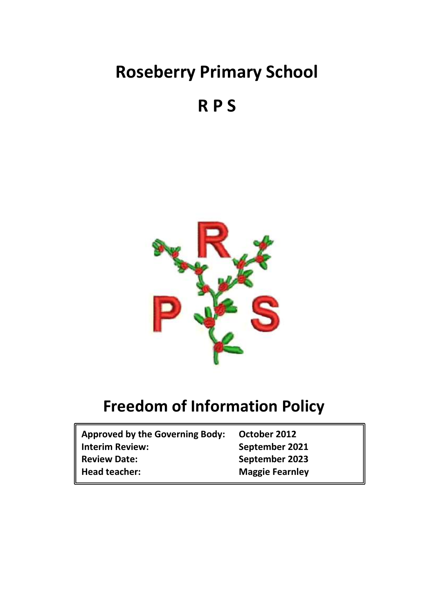# **Roseberry Primary School**

**R P S**



## **Freedom of Information Policy**

| <b>Approved by the Governing Body:</b> | October 2012           |
|----------------------------------------|------------------------|
| <b>Interim Review:</b>                 | September 2021         |
| <b>Review Date:</b>                    | September 2023         |
| Head teacher:                          | <b>Maggie Fearnley</b> |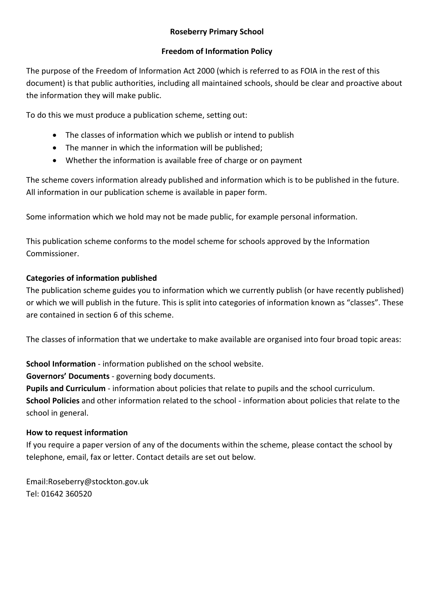#### **Roseberry Primary School**

#### **Freedom of Information Policy**

The purpose of the Freedom of Information Act 2000 (which is referred to as FOIA in the rest of this document) is that public authorities, including all maintained schools, should be clear and proactive about the information they will make public.

To do this we must produce a publication scheme, setting out:

- The classes of information which we publish or intend to publish
- The manner in which the information will be published;
- Whether the information is available free of charge or on payment

The scheme covers information already published and information which is to be published in the future. All information in our publication scheme is available in paper form.

Some information which we hold may not be made public, for example personal information.

This publication scheme conforms to the model scheme for schools approved by the Information Commissioner.

## **Categories of information published**

The publication scheme guides you to information which we currently publish (or have recently published) or which we will publish in the future. This is split into categories of information known as "classes". These are contained in section 6 of this scheme.

The classes of information that we undertake to make available are organised into four broad topic areas:

**School Information** - information published on the school website.

**Governors' Documents** - governing body documents.

**Pupils and Curriculum** - information about policies that relate to pupils and the school curriculum. **School Policies** and other information related to the school - information about policies that relate to the school in general.

## **How to request information**

If you require a paper version of any of the documents within the scheme, please contact the school by telephone, email, fax or letter. Contact details are set out below.

Email:Roseberry@stockton.gov.uk Tel: 01642 360520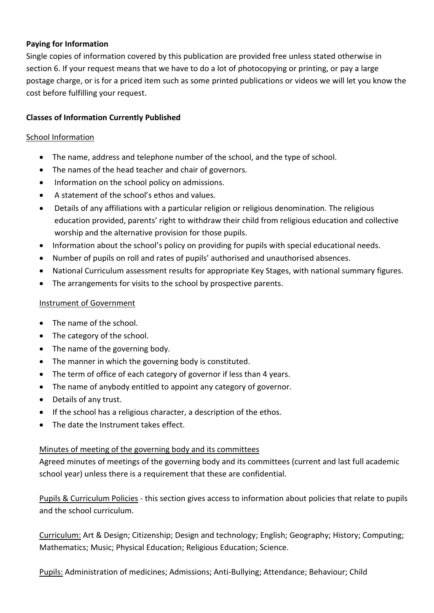#### **Paying for Information**

Single copies of information covered by this publication are provided free unless stated otherwise in section 6. If your request means that we have to do a lot of photocopying or printing, or pay a large postage charge, or is for a priced item such as some printed publications or videos we will let you know the cost before fulfilling your request.

#### **Classes of Information Currently Published**

#### School Information

- The name, address and telephone number of the school, and the type of school.
- The names of the head teacher and chair of governors.
- Information on the school policy on admissions.
- A statement of the school's ethos and values.
- Details of any affiliations with a particular religion or religious denomination. The religious education provided, parents' right to withdraw their child from religious education and collective worship and the alternative provision for those pupils.
- Information about the school's policy on providing for pupils with special educational needs.
- Number of pupils on roll and rates of pupils' authorised and unauthorised absences.
- National Curriculum assessment results for appropriate Key Stages, with national summary figures.
- The arrangements for visits to the school by prospective parents.

#### Instrument of Government

- The name of the school.
- The category of the school.
- The name of the governing body.
- The manner in which the governing body is constituted.
- The term of office of each category of governor if less than 4 years.
- The name of anybody entitled to appoint any category of governor.
- Details of any trust.
- If the school has a religious character, a description of the ethos.
- The date the Instrument takes effect.

#### Minutes of meeting of the governing body and its committees

Agreed minutes of meetings of the governing body and its committees (current and last full academic school year) unless there is a requirement that these are confidential.

Pupils & Curriculum Policies - this section gives access to information about policies that relate to pupils and the school curriculum.

Curriculum: Art & Design; Citizenship; Design and technology; English; Geography; History; Computing; Mathematics; Music; Physical Education; Religious Education; Science.

Pupils: Administration of medicines; Admissions; Anti-Bullying; Attendance; Behaviour; Child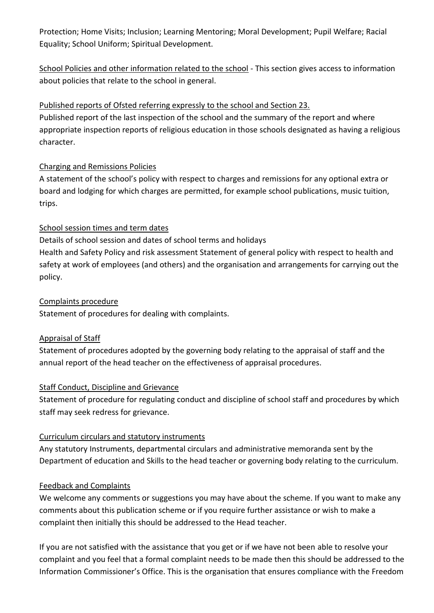Protection; Home Visits; Inclusion; Learning Mentoring; Moral Development; Pupil Welfare; Racial Equality; School Uniform; Spiritual Development.

School Policies and other information related to the school - This section gives access to information about policies that relate to the school in general.

## Published reports of Ofsted referring expressly to the school and Section 23.

Published report of the last inspection of the school and the summary of the report and where appropriate inspection reports of religious education in those schools designated as having a religious character.

## Charging and Remissions Policies

A statement of the school's policy with respect to charges and remissions for any optional extra or board and lodging for which charges are permitted, for example school publications, music tuition, trips.

## School session times and term dates

Details of school session and dates of school terms and holidays Health and Safety Policy and risk assessment Statement of general policy with respect to health and safety at work of employees (and others) and the organisation and arrangements for carrying out the policy.

## Complaints procedure

Statement of procedures for dealing with complaints.

## Appraisal of Staff

Statement of procedures adopted by the governing body relating to the appraisal of staff and the annual report of the head teacher on the effectiveness of appraisal procedures.

## Staff Conduct, Discipline and Grievance

Statement of procedure for regulating conduct and discipline of school staff and procedures by which staff may seek redress for grievance.

## Curriculum circulars and statutory instruments

Any statutory Instruments, departmental circulars and administrative memoranda sent by the Department of education and Skills to the head teacher or governing body relating to the curriculum.

## Feedback and Complaints

We welcome any comments or suggestions you may have about the scheme. If you want to make any comments about this publication scheme or if you require further assistance or wish to make a complaint then initially this should be addressed to the Head teacher.

If you are not satisfied with the assistance that you get or if we have not been able to resolve your complaint and you feel that a formal complaint needs to be made then this should be addressed to the Information Commissioner's Office. This is the organisation that ensures compliance with the Freedom